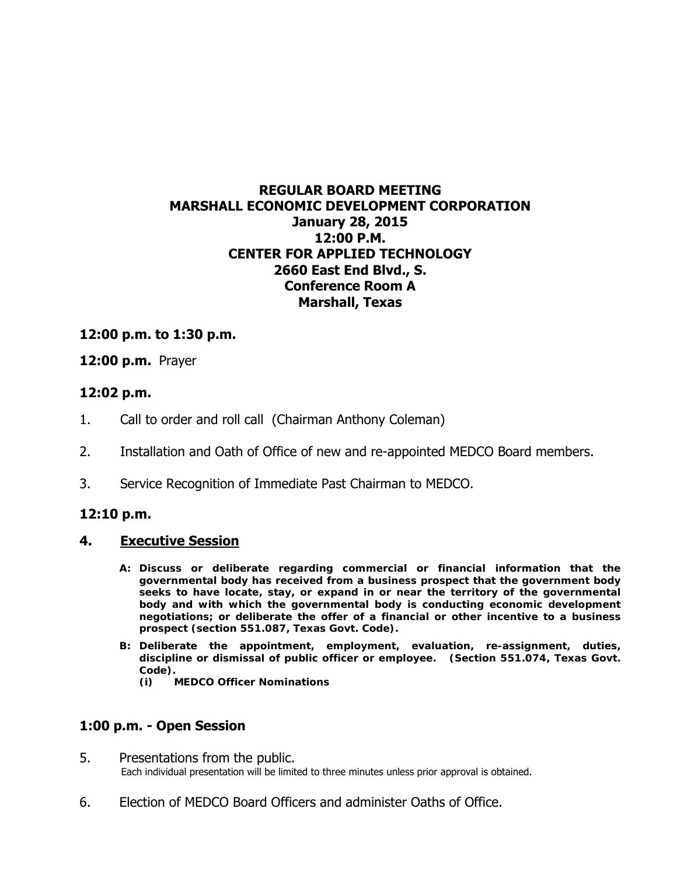# **REGULAR BOARD MEETING MARSHALL ECONOMIC DEVELOPMENT CORPORATION January 28, 2015 12:00 P.M. CENTER FOR APPLIED TECHNOLOGY 2660 East End Blvd., S. Conference Room A Marshall, Texas**

### **12:00 p.m. to 1:30 p.m.**

### **12:00 p.m.** Prayer

### **12:02 p.m.**

- 1. Call to order and roll call (Chairman Anthony Coleman)
- 2. Installation and Oath of Office of new and re-appointed MEDCO Board members.
- 3. Service Recognition of Immediate Past Chairman to MEDCO.

# **12:10 p.m.**

### **4. Executive Session**

- **A: Discuss or deliberate regarding commercial or financial information that the governmental body has received from a business prospect that the government body seeks to have locate, stay, or expand in or near the territory of the governmental body and with which the governmental body is conducting economic development negotiations; or deliberate the offer of a financial or other incentive to a business prospect (section 551.087, Texas Govt. Code).**
- **B: Deliberate the appointment, employment, evaluation, re-assignment, duties, discipline or dismissal of public officer or employee. (Section 551.074, Texas Govt. Code).** 
	- **(i) MEDCO Officer Nominations**

### **1:00 p.m. - Open Session**

- 5. Presentations from the public.<br>Each individual presentation will be limited to three minutes unless prior approval is obtained.
- 6. Election of MEDCO Board Officers and administer Oaths of Office.